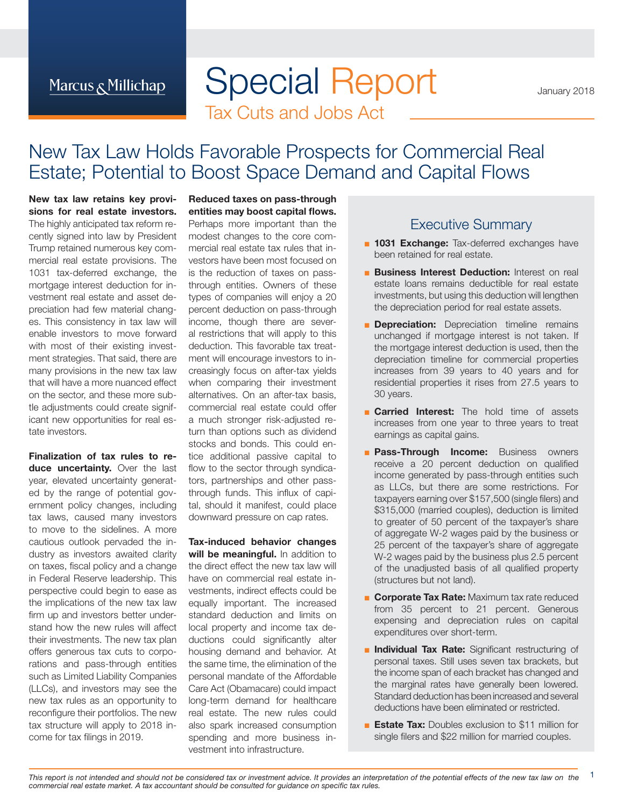# Special Report Tax Cuts and Jobs Act

January 2018

# New Tax Law Holds Favorable Prospects for Commercial Real Estate; Potential to Boost Space Demand and Capital Flows

**New tax law retains key provisions for real estate investors.**  The highly anticipated tax reform recently signed into law by President Trump retained numerous key commercial real estate provisions. The 1031 tax-deferred exchange, the mortgage interest deduction for investment real estate and asset depreciation had few material changes. This consistency in tax law will enable investors to move forward with most of their existing investment strategies. That said, there are many provisions in the new tax law that will have a more nuanced effect on the sector, and these more subtle adjustments could create significant new opportunities for real estate investors.

**Finalization of tax rules to reduce uncertainty.** Over the last year, elevated uncertainty generated by the range of potential government policy changes, including tax laws, caused many investors to move to the sidelines. A more cautious outlook pervaded the industry as investors awaited clarity on taxes, fiscal policy and a change in Federal Reserve leadership. This perspective could begin to ease as the implications of the new tax law firm up and investors better understand how the new rules will affect their investments. The new tax plan offers generous tax cuts to corporations and pass-through entities such as Limited Liability Companies (LLCs), and investors may see the new tax rules as an opportunity to reconfigure their portfolios. The new tax structure will apply to 2018 income for tax filings in 2019.

### **Reduced taxes on pass-through entities may boost capital flows.**

Perhaps more important than the modest changes to the core commercial real estate tax rules that investors have been most focused on is the reduction of taxes on passthrough entities. Owners of these types of companies will enjoy a 20 percent deduction on pass-through income, though there are several restrictions that will apply to this deduction. This favorable tax treatment will encourage investors to increasingly focus on after-tax yields when comparing their investment alternatives. On an after-tax basis, commercial real estate could offer a much stronger risk-adjusted return than options such as dividend stocks and bonds. This could entice additional passive capital to flow to the sector through syndicators, partnerships and other passthrough funds. This influx of capital, should it manifest, could place downward pressure on cap rates.

**Tax-induced behavior changes**  will be meaningful. In addition to the direct effect the new tax law will have on commercial real estate investments, indirect effects could be equally important. The increased standard deduction and limits on local property and income tax deductions could significantly alter housing demand and behavior. At the same time, the elimination of the personal mandate of the Affordable Care Act (Obamacare) could impact long-term demand for healthcare real estate. The new rules could also spark increased consumption spending and more business investment into infrastructure.

### Executive Summary

- **1031 Exchange:** Tax-deferred exchanges have been retained for real estate.
- **Business Interest Deduction:** Interest on real estate loans remains deductible for real estate investments, but using this deduction will lengthen the depreciation period for real estate assets.
- **E Depreciation:** Depreciation timeline remains unchanged if mortgage interest is not taken. If the mortgage interest deduction is used, then the depreciation timeline for commercial properties increases from 39 years to 40 years and for residential properties it rises from 27.5 years to 30 years.
- **Carried Interest:** The hold time of assets increases from one year to three years to treat earnings as capital gains.
- **Example 25 Finds Income:** Business owners receive a 20 percent deduction on qualified income generated by pass-through entities such as LLCs, but there are some restrictions. For taxpayers earning over \$157,500 (single filers) and \$315,000 (married couples), deduction is limited to greater of 50 percent of the taxpayer's share of aggregate W-2 wages paid by the business or 25 percent of the taxpayer's share of aggregate W-2 wages paid by the business plus 2.5 percent of the unadjusted basis of all qualified property (structures but not land).
- **Corporate Tax Rate:** Maximum tax rate reduced from 35 percent to 21 percent. Generous expensing and depreciation rules on capital expenditures over short-term.
- **Individual Tax Rate:** Significant restructuring of personal taxes. Still uses seven tax brackets, but the income span of each bracket has changed and the marginal rates have generally been lowered. Standard deduction has been increased and several deductions have been eliminated or restricted.
- **Estate Tax:** Doubles exclusion to \$11 million for single filers and \$22 million for married couples.

1 This report is not intended and should not be considered tax or investment advice. It provides an interpretation of the potential effects of the new tax law on the commercial real estate market. A tax accountant should be consulted for guidance on specific tax rules.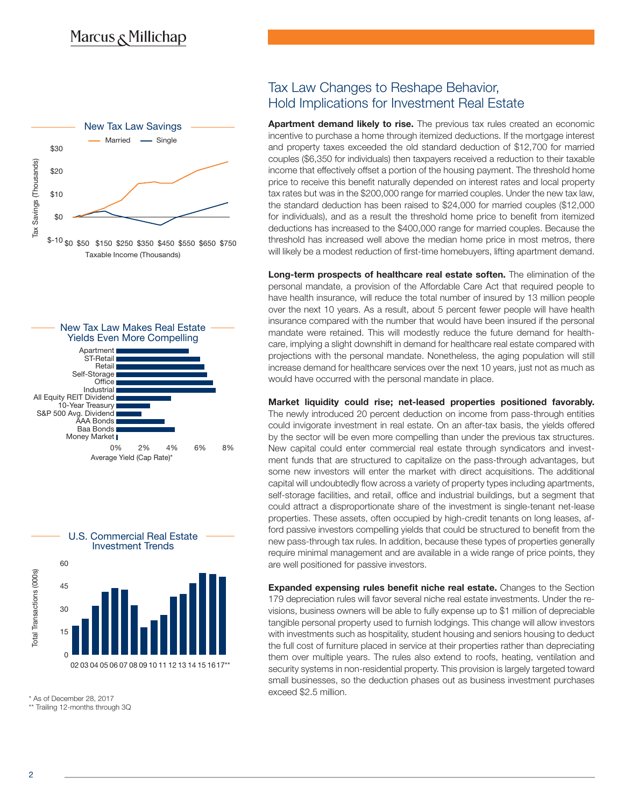





\*\* Trailing 12-months through 3Q

### Tax Law Changes to Reshape Behavior, Hold Implications for Investment Real Estate

**Apartment demand likely to rise.** The previous tax rules created an economic incentive to purchase a home through itemized deductions. If the mortgage interest and property taxes exceeded the old standard deduction of \$12,700 for married couples (\$6,350 for individuals) then taxpayers received a reduction to their taxable income that effectively offset a portion of the housing payment. The threshold home price to receive this benefit naturally depended on interest rates and local property tax rates but was in the \$200,000 range for married couples. Under the new tax law, the standard deduction has been raised to \$24,000 for married couples (\$12,000 for individuals), and as a result the threshold home price to benefit from itemized deductions has increased to the \$400,000 range for married couples. Because the threshold has increased well above the median home price in most metros, there will likely be a modest reduction of first-time homebuyers, lifting apartment demand.

**Long-term prospects of healthcare real estate soften.** The elimination of the personal mandate, a provision of the Affordable Care Act that required people to have health insurance, will reduce the total number of insured by 13 million people over the next 10 years. As a result, about 5 percent fewer people will have health insurance compared with the number that would have been insured if the personal mandate were retained. This will modestly reduce the future demand for healthcare, implying a slight downshift in demand for healthcare real estate compared with projections with the personal mandate. Nonetheless, the aging population will still increase demand for healthcare services over the next 10 years, just not as much as would have occurred with the personal mandate in place.

**Market liquidity could rise; net-leased properties positioned favorably.**  The newly introduced 20 percent deduction on income from pass-through entities could invigorate investment in real estate. On an after-tax basis, the yields offered by the sector will be even more compelling than under the previous tax structures. New capital could enter commercial real estate through syndicators and investment funds that are structured to capitalize on the pass-through advantages, but some new investors will enter the market with direct acquisitions. The additional capital will undoubtedly flow across a variety of property types including apartments, self-storage facilities, and retail, office and industrial buildings, but a segment that could attract a disproportionate share of the investment is single-tenant net-lease properties. These assets, often occupied by high-credit tenants on long leases, afford passive investors compelling yields that could be structured to benefit from the new pass-through tax rules. In addition, because these types of properties generally require minimal management and are available in a wide range of price points, they are well positioned for passive investors.

**Expanded expensing rules benefit niche real estate.** Changes to the Section 179 depreciation rules will favor several niche real estate investments. Under the revisions, business owners will be able to fully expense up to \$1 million of depreciable tangible personal property used to furnish lodgings. This change will allow investors with investments such as hospitality, student housing and seniors housing to deduct the full cost of furniture placed in service at their properties rather than depreciating them over multiple years. The rules also extend to roofs, heating, ventilation and security systems in non-residential property. This provision is largely targeted toward small businesses, so the deduction phases out as business investment purchases exceed \$2.5 million. \* As of December 28, 2017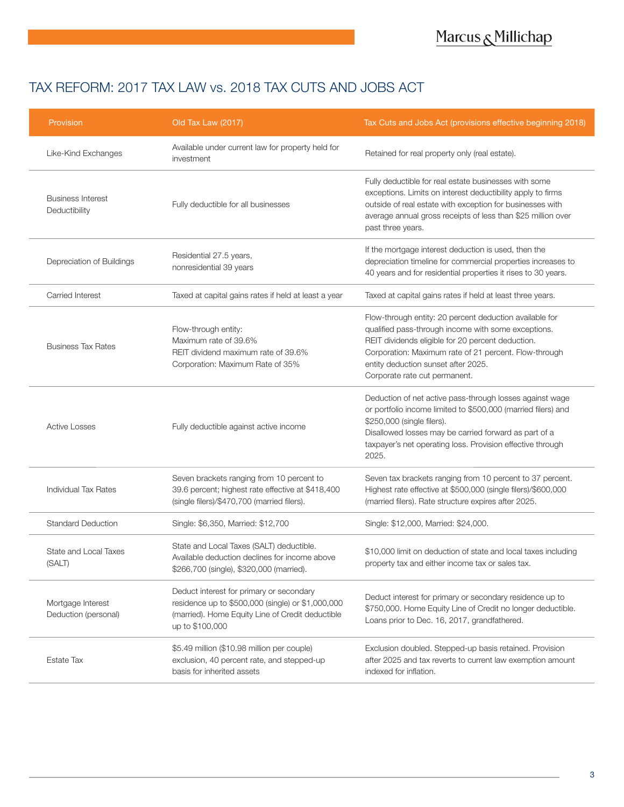# TAX REFORM: 2017 TAX LAW vs. 2018 TAX CUTS AND JOBS ACT

| Provision                                 | Old Tax Law (2017)                                                                                                                                                   | Tax Cuts and Jobs Act (provisions effective beginning 2018)                                                                                                                                                                                                                                          |
|-------------------------------------------|----------------------------------------------------------------------------------------------------------------------------------------------------------------------|------------------------------------------------------------------------------------------------------------------------------------------------------------------------------------------------------------------------------------------------------------------------------------------------------|
| Like-Kind Exchanges                       | Available under current law for property held for<br>investment                                                                                                      | Retained for real property only (real estate).                                                                                                                                                                                                                                                       |
| <b>Business Interest</b><br>Deductibility | Fully deductible for all businesses                                                                                                                                  | Fully deductible for real estate businesses with some<br>exceptions. Limits on interest deductibility apply to firms<br>outside of real estate with exception for businesses with<br>average annual gross receipts of less than \$25 million over<br>past three years.                               |
| Depreciation of Buildings                 | Residential 27.5 years,<br>nonresidential 39 years                                                                                                                   | If the mortgage interest deduction is used, then the<br>depreciation timeline for commercial properties increases to<br>40 years and for residential properties it rises to 30 years.                                                                                                                |
| Carried Interest                          | Taxed at capital gains rates if held at least a year                                                                                                                 | Taxed at capital gains rates if held at least three years.                                                                                                                                                                                                                                           |
| <b>Business Tax Rates</b>                 | Flow-through entity:<br>Maximum rate of 39.6%<br>REIT dividend maximum rate of 39.6%<br>Corporation: Maximum Rate of 35%                                             | Flow-through entity: 20 percent deduction available for<br>qualified pass-through income with some exceptions.<br>REIT dividends eligible for 20 percent deduction.<br>Corporation: Maximum rate of 21 percent. Flow-through<br>entity deduction sunset after 2025.<br>Corporate rate cut permanent. |
| <b>Active Losses</b>                      | Fully deductible against active income                                                                                                                               | Deduction of net active pass-through losses against wage<br>or portfolio income limited to \$500,000 (married filers) and<br>\$250,000 (single filers).<br>Disallowed losses may be carried forward as part of a<br>taxpayer's net operating loss. Provision effective through<br>2025.              |
| <b>Individual Tax Rates</b>               | Seven brackets ranging from 10 percent to<br>39.6 percent; highest rate effective at \$418,400<br>(single filers)/\$470,700 (married filers).                        | Seven tax brackets ranging from 10 percent to 37 percent.<br>Highest rate effective at \$500,000 (single filers)/\$600,000<br>(married filers). Rate structure expires after 2025.                                                                                                                   |
| <b>Standard Deduction</b>                 | Single: \$6,350, Married: \$12,700                                                                                                                                   | Single: \$12,000, Married: \$24,000.                                                                                                                                                                                                                                                                 |
| State and Local Taxes<br>(SALT)           | State and Local Taxes (SALT) deductible.<br>Available deduction declines for income above<br>\$266,700 (single), \$320,000 (married).                                | \$10,000 limit on deduction of state and local taxes including<br>property tax and either income tax or sales tax.                                                                                                                                                                                   |
| Mortgage Interest<br>Deduction (personal) | Deduct interest for primary or secondary<br>residence up to \$500,000 (single) or \$1,000,000<br>(married). Home Equity Line of Credit deductible<br>up to \$100,000 | Deduct interest for primary or secondary residence up to<br>\$750,000. Home Equity Line of Credit no longer deductible.<br>Loans prior to Dec. 16, 2017, grandfathered.                                                                                                                              |
| <b>Estate Tax</b>                         | \$5.49 million (\$10.98 million per couple)<br>exclusion, 40 percent rate, and stepped-up<br>basis for inherited assets                                              | Exclusion doubled. Stepped-up basis retained. Provision<br>after 2025 and tax reverts to current law exemption amount<br>indexed for inflation.                                                                                                                                                      |